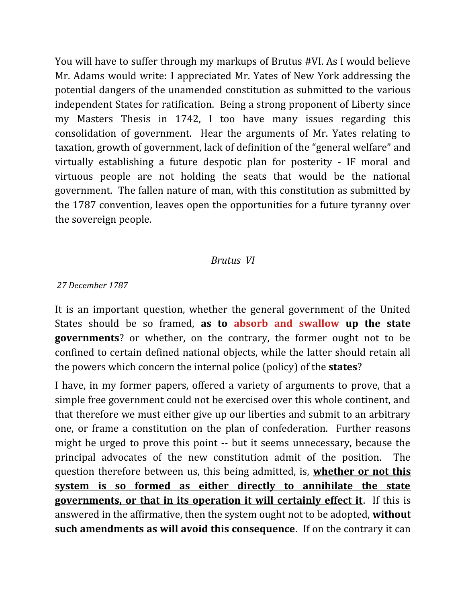You will have to suffer through my markups of Brutus #VI. As I would believe Mr. Adams would write: I appreciated Mr. Yates of New York addressing the potential dangers of the unamended constitution as submitted to the various independent States for ratification. Being a strong proponent of Liberty since my Masters Thesis in 1742, I too have many issues regarding this consolidation of government. Hear the arguments of Mr. Yates relating to taxation, growth of government, lack of definition of the "general welfare" and virtually establishing a future despotic plan for posterity - IF moral and virtuous people are not holding the seats that would be the national government. The fallen nature of man, with this constitution as submitted by the 1787 convention, leaves open the opportunities for a future tyranny over the sovereign people.

## *Brutus VI*

## *27 December 1787*

It is an important question, whether the general government of the United States should be so framed, **as to absorb and swallow up the state governments**? or whether, on the contrary, the former ought not to be confined to certain defined national objects, while the latter should retain all the powers which concern the internal police (policy) of the **states**?

I have, in my former papers, offered a variety of arguments to prove, that a simple free government could not be exercised over this whole continent, and that therefore we must either give up our liberties and submit to an arbitrary one, or frame a constitution on the plan of confederation. Further reasons might be urged to prove this point -- but it seems unnecessary, because the principal advocates of the new constitution admit of the position. The question therefore between us, this being admitted, is, **whether or not this system is so formed as either directly to annihilate the state governments, or that in its operation it will certainly effect it**. If this is answered in the affirmative, then the system ought not to be adopted, **without such amendments as will avoid this consequence**. If on the contrary it can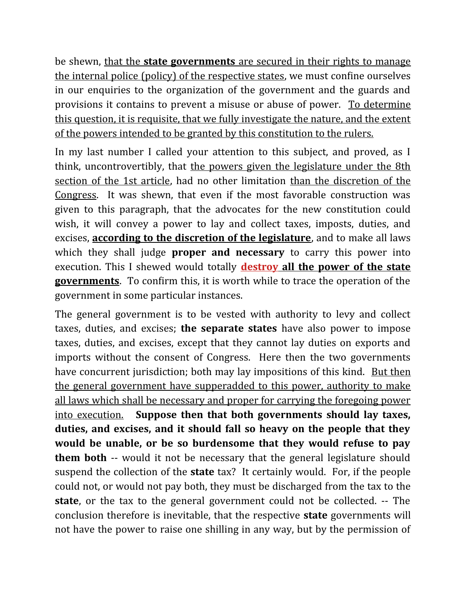be shewn, that the **state governments** are secured in their rights to manage the internal police (policy) of the respective states, we must confine ourselves in our enquiries to the organization of the government and the guards and provisions it contains to prevent a misuse or abuse of power. To determine this question, it is requisite, that we fully investigate the nature, and the extent of the powers intended to be granted by this constitution to the rulers.

In my last number I called your attention to this subject, and proved, as I think, uncontrovertibly, that the powers given the legislature under the 8th section of the 1st article, had no other limitation than the discretion of the Congress. It was shewn, that even if the most favorable construction was given to this paragraph, that the advocates for the new constitution could wish, it will convey a power to lay and collect taxes, imposts, duties, and excises, **according to the discretion of the legislature**, and to make all laws which they shall judge **proper and necessary** to carry this power into execution. This I shewed would totally **destroy all the power of the state governments**. To confirm this, it is worth while to trace the operation of the government in some particular instances.

The general government is to be vested with authority to levy and collect taxes, duties, and excises; **the separate states** have also power to impose taxes, duties, and excises, except that they cannot lay duties on exports and imports without the consent of Congress. Here then the two governments have concurrent jurisdiction; both may lay impositions of this kind. But then the general government have supperadded to this power, authority to make all laws which shall be necessary and proper for carrying the foregoing power into execution. **Suppose then that both governments should lay taxes, duties, and excises, and it should fall so heavy on the people that they would be unable, or be so burdensome that they would refuse to pay them both** -- would it not be necessary that the general legislature should suspend the collection of the **state** tax? It certainly would. For, if the people could not, or would not pay both, they must be discharged from the tax to the **state**, or the tax to the general government could not be collected. -- The conclusion therefore is inevitable, that the respective **state** governments will not have the power to raise one shilling in any way, but by the permission of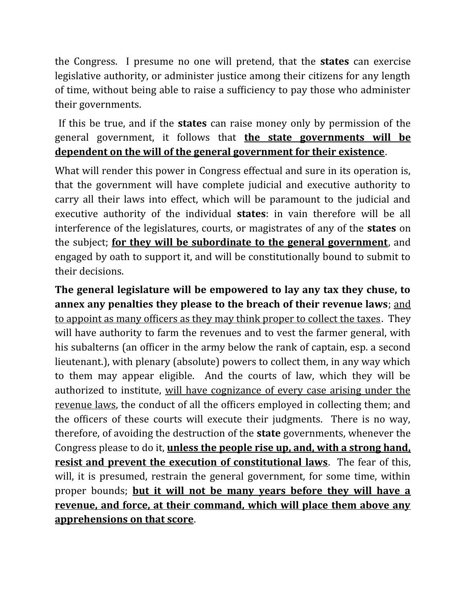the Congress. I presume no one will pretend, that the **states** can exercise legislative authority, or administer justice among their citizens for any length of time, without being able to raise a sufficiency to pay those who administer their governments.

 If this be true, and if the **states** can raise money only by permission of the general government, it follows that **the state governments will be dependent on the will of the general government for their existence**.

What will render this power in Congress effectual and sure in its operation is, that the government will have complete judicial and executive authority to carry all their laws into effect, which will be paramount to the judicial and executive authority of the individual **states**: in vain therefore will be all interference of the legislatures, courts, or magistrates of any of the **states** on the subject; **for they will be subordinate to the general government**, and engaged by oath to support it, and will be constitutionally bound to submit to their decisions.

**The general legislature will be empowered to lay any tax they chuse, to annex any penalties they please to the breach of their revenue laws**; and to appoint as many officers as they may think proper to collect the taxes. They will have authority to farm the revenues and to vest the farmer general, with his subalterns (an officer in the army below the rank of captain, esp. a second lieutenant.), with plenary (absolute) powers to collect them, in any way which to them may appear eligible. And the courts of law, which they will be authorized to institute, will have cognizance of every case arising under the revenue laws, the conduct of all the officers employed in collecting them; and the officers of these courts will execute their judgments. There is no way, therefore, of avoiding the destruction of the **state** governments, whenever the Congress please to do it, **unless the people rise up, and, with a strong hand, resist and prevent the execution of constitutional laws**. The fear of this, will, it is presumed, restrain the general government, for some time, within proper bounds; **but it will not be many years before they will have a revenue, and force, at their command, which will place them above any apprehensions on that score**.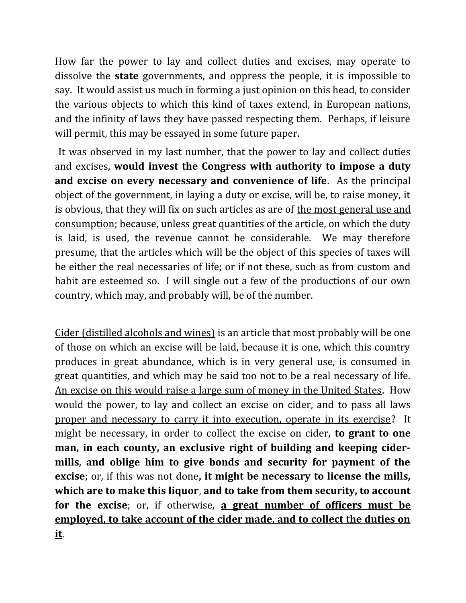How far the power to lay and collect duties and excises, may operate to dissolve the **state** governments, and oppress the people, it is impossible to say. It would assist us much in forming a just opinion on this head, to consider the various objects to which this kind of taxes extend, in European nations, and the infinity of laws they have passed respecting them. Perhaps, if leisure will permit, this may be essayed in some future paper.

 It was observed in my last number, that the power to lay and collect duties and excises, **would invest the Congress with authority to impose a duty and excise on every necessary and convenience of life**. As the principal object of the government, in laying a duty or excise, will be, to raise money, it is obvious, that they will fix on such articles as are of the most general use and consumption; because, unless great quantities of the article, on which the duty is laid, is used, the revenue cannot be considerable. We may therefore presume, that the articles which will be the object of this species of taxes will be either the real necessaries of life; or if not these, such as from custom and habit are esteemed so. I will single out a few of the productions of our own country, which may, and probably will, be of the number.

Cider (distilled alcohols and wines) is an article that most probably will be one of those on which an excise will be laid, because it is one, which this country produces in great abundance, which is in very general use, is consumed in great quantities, and which may be said too not to be a real necessary of life. An excise on this would raise a large sum of money in the United States. How would the power, to lay and collect an excise on cider, and to pass all laws proper and necessary to carry it into execution, operate in its exercise? It might be necessary, in order to collect the excise on cider, **to grant to one man, in each county, an exclusive right of building and keeping cidermills**, **and oblige him to give bonds and security for payment of the excise**; or, if this was not done**, it might be necessary to license the mills, which are to make this liquor**, **and to take from them security, to account for the excise**; or, if otherwise, **a great number of officers must be employed, to take account of the cider made, and to collect the duties on it**.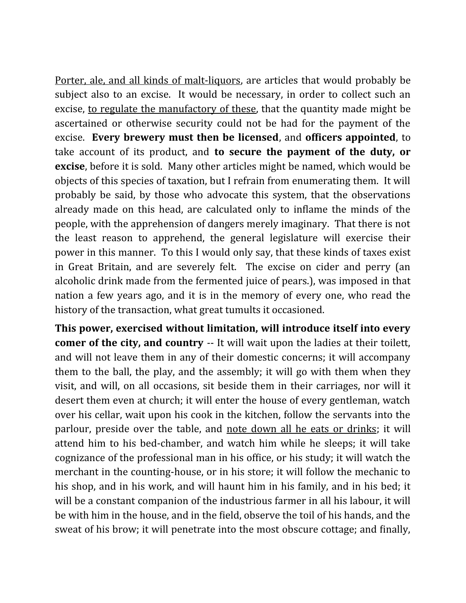Porter, ale, and all kinds of malt-liquors, are articles that would probably be subject also to an excise. It would be necessary, in order to collect such an excise, to regulate the manufactory of these, that the quantity made might be ascertained or otherwise security could not be had for the payment of the excise. **Every brewery must then be licensed**, and **officers appointed**, to take account of its product, and **to secure the payment of the duty, or excise**, before it is sold. Many other articles might be named, which would be objects of this species of taxation, but I refrain from enumerating them. It will probably be said, by those who advocate this system, that the observations already made on this head, are calculated only to inflame the minds of the people, with the apprehension of dangers merely imaginary. That there is not the least reason to apprehend, the general legislature will exercise their power in this manner. To this I would only say, that these kinds of taxes exist in Great Britain, and are severely felt. The excise on cider and perry (an alcoholic drink made from the fermented juice of pears.), was imposed in that nation a few years ago, and it is in the memory of every one, who read the history of the transaction, what great tumults it occasioned.

**This power, exercised without limitation, will introduce itself into every comer of the city, and country** -- It will wait upon the ladies at their toilett, and will not leave them in any of their domestic concerns; it will accompany them to the ball, the play, and the assembly; it will go with them when they visit, and will, on all occasions, sit beside them in their carriages, nor will it desert them even at church; it will enter the house of every gentleman, watch over his cellar, wait upon his cook in the kitchen, follow the servants into the parlour, preside over the table, and note down all he eats or drinks; it will attend him to his bed-chamber, and watch him while he sleeps; it will take cognizance of the professional man in his office, or his study; it will watch the merchant in the counting-house, or in his store; it will follow the mechanic to his shop, and in his work, and will haunt him in his family, and in his bed; it will be a constant companion of the industrious farmer in all his labour, it will be with him in the house, and in the field, observe the toil of his hands, and the sweat of his brow; it will penetrate into the most obscure cottage; and finally,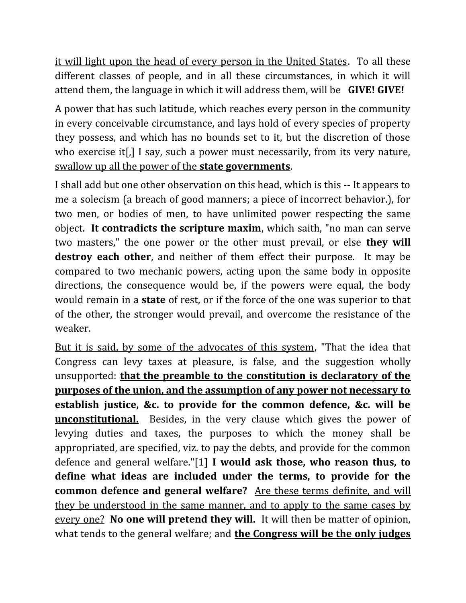it will light upon the head of every person in the United States. To all these different classes of people, and in all these circumstances, in which it will attend them, the language in which it will address them, will be **GIVE! GIVE!**

A power that has such latitude, which reaches every person in the community in every conceivable circumstance, and lays hold of every species of property they possess, and which has no bounds set to it, but the discretion of those who exercise it<sup>[]</sup>, I say, such a power must necessarily, from its very nature, swallow up all the power of the **state governments**.

I shall add but one other observation on this head, which is this -- It appears to me a solecism (a breach of good manners; a piece of incorrect behavior.), for two men, or bodies of men, to have unlimited power respecting the same object. **It contradicts the scripture maxim**, which saith, "no man can serve two masters," the one power or the other must prevail, or else **they will destroy each other**, and neither of them effect their purpose. It may be compared to two mechanic powers, acting upon the same body in opposite directions, the consequence would be, if the powers were equal, the body would remain in a **state** of rest, or if the force of the one was superior to that of the other, the stronger would prevail, and overcome the resistance of the weaker.

But it is said, by some of the advocates of this system, "That the idea that Congress can levy taxes at pleasure, is false, and the suggestion wholly unsupported: **that the preamble to the constitution is declaratory of the purposes of the union, and the assumption of any power not necessary to establish justice, &c. to provide for the common defence, &c. will be unconstitutional.** Besides, in the very clause which gives the power of levying duties and taxes, the purposes to which the money shall be appropriated, are specified, viz. to pay the debts, and provide for the common defence and general welfare."[1**] I would ask those, who reason thus, to define what ideas are included under the terms, to provide for the common defence and general welfare?** Are these terms definite, and will they be understood in the same manner, and to apply to the same cases by every one? **No one will pretend they will.** It will then be matter of opinion, what tends to the general welfare; and **the Congress will be the only judges**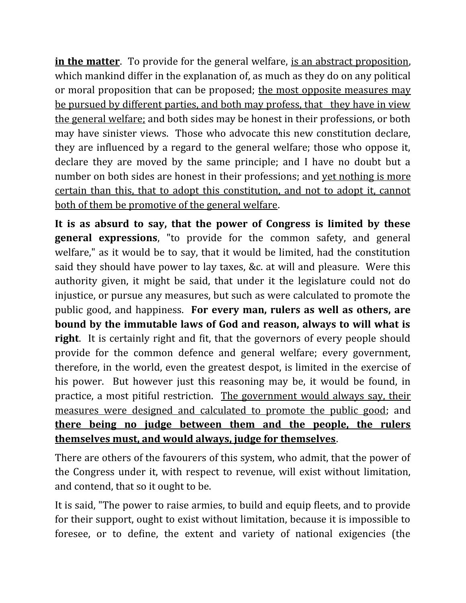**in the matter**. To provide for the general welfare, is an abstract proposition, which mankind differ in the explanation of, as much as they do on any political or moral proposition that can be proposed; the most opposite measures may be pursued by different parties, and both may profess, that they have in view the general welfare; and both sides may be honest in their professions, or both may have sinister views. Those who advocate this new constitution declare, they are influenced by a regard to the general welfare; those who oppose it, declare they are moved by the same principle; and I have no doubt but a number on both sides are honest in their professions; and yet nothing is more certain than this, that to adopt this constitution, and not to adopt it, cannot both of them be promotive of the general welfare.

**It is as absurd to say, that the power of Congress is limited by these general expressions**, "to provide for the common safety, and general welfare," as it would be to say, that it would be limited, had the constitution said they should have power to lay taxes, &c. at will and pleasure. Were this authority given, it might be said, that under it the legislature could not do injustice, or pursue any measures, but such as were calculated to promote the public good, and happiness. **For every man, rulers as well as others, are bound by the immutable laws of God and reason, always to will what is right**. It is certainly right and fit, that the governors of every people should provide for the common defence and general welfare; every government, therefore, in the world, even the greatest despot, is limited in the exercise of his power. But however just this reasoning may be, it would be found, in practice, a most pitiful restriction. The government would always say, their measures were designed and calculated to promote the public good; and **there being no judge between them and the people, the rulers themselves must, and would always, judge for themselves**.

There are others of the favourers of this system, who admit, that the power of the Congress under it, with respect to revenue, will exist without limitation, and contend, that so it ought to be.

It is said, "The power to raise armies, to build and equip fleets, and to provide for their support, ought to exist without limitation, because it is impossible to foresee, or to define, the extent and variety of national exigencies (the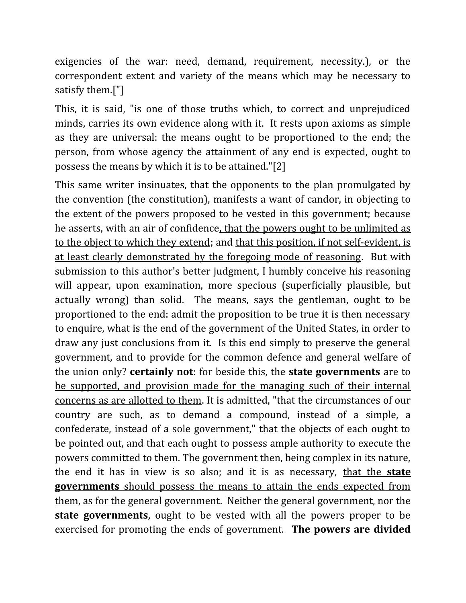exigencies of the war: need, demand, requirement, necessity.), or the correspondent extent and variety of the means which may be necessary to satisfy them.["]

This, it is said, "is one of those truths which, to correct and unprejudiced minds, carries its own evidence along with it. It rests upon axioms as simple as they are universal: the means ought to be proportioned to the end; the person, from whose agency the attainment of any end is expected, ought to possess the means by which it is to be attained."[2]

This same writer insinuates, that the opponents to the plan promulgated by the convention (the constitution), manifests a want of candor, in objecting to the extent of the powers proposed to be vested in this government; because he asserts, with an air of confidence, that the powers ought to be unlimited as to the object to which they extend; and that this position, if not self-evident, is at least clearly demonstrated by the foregoing mode of reasoning. But with submission to this author's better judgment, I humbly conceive his reasoning will appear, upon examination, more specious (superficially plausible, but actually wrong) than solid. The means, says the gentleman, ought to be proportioned to the end: admit the proposition to be true it is then necessary to enquire, what is the end of the government of the United States, in order to draw any just conclusions from it. Is this end simply to preserve the general government, and to provide for the common defence and general welfare of the union only? **certainly not**: for beside this, the **state governments** are to be supported, and provision made for the managing such of their internal concerns as are allotted to them. It is admitted, "that the circumstances of our country are such, as to demand a compound, instead of a simple, a confederate, instead of a sole government," that the objects of each ought to be pointed out, and that each ought to possess ample authority to execute the powers committed to them. The government then, being complex in its nature, the end it has in view is so also; and it is as necessary, that the **state governments** should possess the means to attain the ends expected from them, as for the general government. Neither the general government, nor the **state governments**, ought to be vested with all the powers proper to be exercised for promoting the ends of government. **The powers are divided**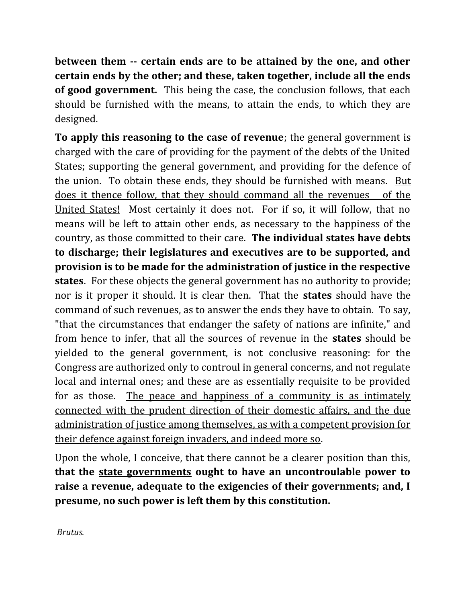**between them -- certain ends are to be attained by the one, and other certain ends by the other; and these, taken together, include all the ends of good government.** This being the case, the conclusion follows, that each should be furnished with the means, to attain the ends, to which they are designed.

**To apply this reasoning to the case of revenue**; the general government is charged with the care of providing for the payment of the debts of the United States; supporting the general government, and providing for the defence of the union. To obtain these ends, they should be furnished with means. But does it thence follow, that they should command all the revenues of the United States! Most certainly it does not. For if so, it will follow, that no means will be left to attain other ends, as necessary to the happiness of the country, as those committed to their care. **The individual states have debts to discharge; their legislatures and executives are to be supported, and provision is to be made for the administration of justice in the respective states**. For these objects the general government has no authority to provide; nor is it proper it should. It is clear then. That the **states** should have the command of such revenues, as to answer the ends they have to obtain. To say, "that the circumstances that endanger the safety of nations are infinite," and from hence to infer, that all the sources of revenue in the **states** should be yielded to the general government, is not conclusive reasoning: for the Congress are authorized only to controul in general concerns, and not regulate local and internal ones; and these are as essentially requisite to be provided for as those. The peace and happiness of a community is as intimately connected with the prudent direction of their domestic affairs, and the due administration of justice among themselves, as with a competent provision for their defence against foreign invaders, and indeed more so.

Upon the whole, I conceive, that there cannot be a clearer position than this, **that the state governments ought to have an uncontroulable power to raise a revenue, adequate to the exigencies of their governments; and, I presume, no such power is left them by this constitution.**

 *Brutus.*